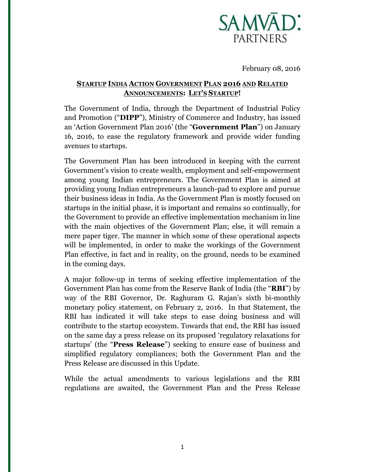

February 08, 2016

# **STARTUP INDIA ACTION GOVERNMENT PLAN 2016 AND RELATED ANNOUNCEMENTS: LET'S STARTUP!**

The Government of India, through the Department of Industrial Policy and Promotion ("**DIPP**"), Ministry of Commerce and Industry, has issued an 'Action Government Plan 2016' (the "**Government Plan**") on January 16, 2016, to ease the regulatory framework and provide wider funding avenues to startups.

The Government Plan has been introduced in keeping with the current Government's vision to create wealth, employment and self-empowerment among young Indian entrepreneurs. The Government Plan is aimed at providing young Indian entrepreneurs a launch-pad to explore and pursue their business ideas in India. As the Government Plan is mostly focused on startups in the initial phase, it is important and remains so continually, for the Government to provide an effective implementation mechanism in line with the main objectives of the Government Plan; else, it will remain a mere paper tiger. The manner in which some of these operational aspects will be implemented, in order to make the workings of the Government Plan effective, in fact and in reality, on the ground, needs to be examined in the coming days.

A major follow-up in terms of seeking effective implementation of the Government Plan has come from the Reserve Bank of India (the "**RBI**") by way of the RBI Governor, Dr. Raghuram G. Rajan's sixth bi-monthly monetary policy statement, on February 2, 2016. In that Statement, the RBI has indicated it will take steps to ease doing business and will contribute to the startup ecosystem. Towards that end, the RBI has issued on the same day a press release on its proposed 'regulatory relaxations for startups' (the "**Press Release**") seeking to ensure ease of business and simplified regulatory compliances; both the Government Plan and the Press Release are discussed in this Update.

While the actual amendments to various legislations and the RBI regulations are awaited, the Government Plan and the Press Release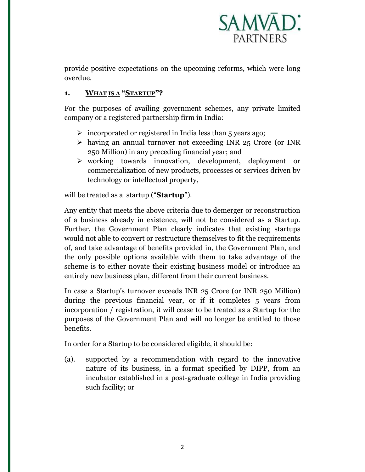

provide positive expectations on the upcoming reforms, which were long overdue.

# **1. WHAT IS A "STARTUP"?**

For the purposes of availing government schemes, any private limited company or a registered partnership firm in India:

- $\triangleright$  incorporated or registered in India less than 5 years ago;
- having an annual turnover not exceeding INR 25 Crore (or INR 250 Million) in any preceding financial year; and
- $\triangleright$  working towards innovation, development, deployment or commercialization of new products, processes or services driven by technology or intellectual property,

will be treated as a startup ("**Startup**").

Any entity that meets the above criteria due to demerger or reconstruction of a business already in existence, will not be considered as a Startup. Further, the Government Plan clearly indicates that existing startups would not able to convert or restructure themselves to fit the requirements of, and take advantage of benefits provided in, the Government Plan, and the only possible options available with them to take advantage of the scheme is to either novate their existing business model or introduce an entirely new business plan, different from their current business.

In case a Startup's turnover exceeds INR 25 Crore (or INR 250 Million) during the previous financial year, or if it completes 5 years from incorporation / registration, it will cease to be treated as a Startup for the purposes of the Government Plan and will no longer be entitled to those benefits.

In order for a Startup to be considered eligible, it should be:

(a). supported by a recommendation with regard to the innovative nature of its business, in a format specified by DIPP, from an incubator established in a post-graduate college in India providing such facility; or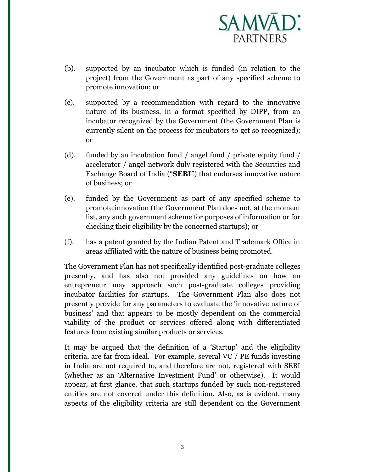

- (b). supported by an incubator which is funded (in relation to the project) from the Government as part of any specified scheme to promote innovation; or
- (c). supported by a recommendation with regard to the innovative nature of its business, in a format specified by DIPP, from an incubator recognized by the Government (the Government Plan is currently silent on the process for incubators to get so recognized); or
- (d). funded by an incubation fund / angel fund / private equity fund / accelerator / angel network duly registered with the Securities and Exchange Board of India ("**SEBI**") that endorses innovative nature of business; or
- (e). funded by the Government as part of any specified scheme to promote innovation (the Government Plan does not, at the moment list, any such government scheme for purposes of information or for checking their eligibility by the concerned startups); or
- (f). has a patent granted by the Indian Patent and Trademark Office in areas affiliated with the nature of business being promoted.

The Government Plan has not specifically identified post-graduate colleges presently, and has also not provided any guidelines on how an entrepreneur may approach such post-graduate colleges providing incubator facilities for startups. The Government Plan also does not presently provide for any parameters to evaluate the 'innovative nature of business' and that appears to be mostly dependent on the commercial viability of the product or services offered along with differentiated features from existing similar products or services.

It may be argued that the definition of a 'Startup' and the eligibility criteria, are far from ideal. For example, several VC / PE funds investing in India are not required to, and therefore are not, registered with SEBI (whether as an 'Alternative Investment Fund' or otherwise). It would appear, at first glance, that such startups funded by such non-registered entities are not covered under this definition. Also, as is evident, many aspects of the eligibility criteria are still dependent on the Government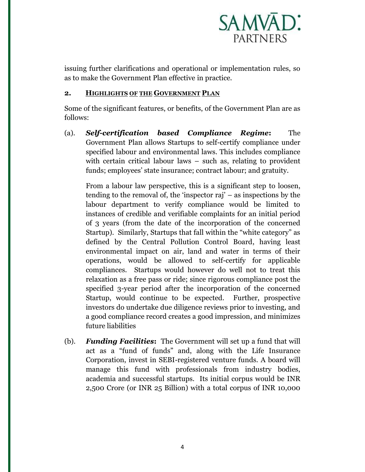

issuing further clarifications and operational or implementation rules, so as to make the Government Plan effective in practice.

## **2. HIGHLIGHTS OF THE GOVERNMENT PLAN**

Some of the significant features, or benefits, of the Government Plan are as follows:

(a). *Self-certification based Compliance Regime***:** The Government Plan allows Startups to self-certify compliance under specified labour and environmental laws. This includes compliance with certain critical labour laws – such as, relating to provident funds; employees' state insurance; contract labour; and gratuity.

From a labour law perspective, this is a significant step to loosen, tending to the removal of, the 'inspector raj' – as inspections by the labour department to verify compliance would be limited to instances of credible and verifiable complaints for an initial period of 3 years (from the date of the incorporation of the concerned Startup). Similarly, Startups that fall within the "white category" as defined by the Central Pollution Control Board, having least environmental impact on air, land and water in terms of their operations, would be allowed to self-certify for applicable compliances. Startups would however do well not to treat this relaxation as a free pass or ride; since rigorous compliance post the specified 3-year period after the incorporation of the concerned Startup, would continue to be expected. Further, prospective investors do undertake due diligence reviews prior to investing, and a good compliance record creates a good impression, and minimizes future liabilities

(b). *Funding Facilities***:**The Government will set up a fund that will act as a "fund of funds" and, along with the Life Insurance Corporation, invest in SEBI-registered venture funds. A board will manage this fund with professionals from industry bodies, academia and successful startups. Its initial corpus would be INR 2,500 Crore (or INR 25 Billion) with a total corpus of INR 10,000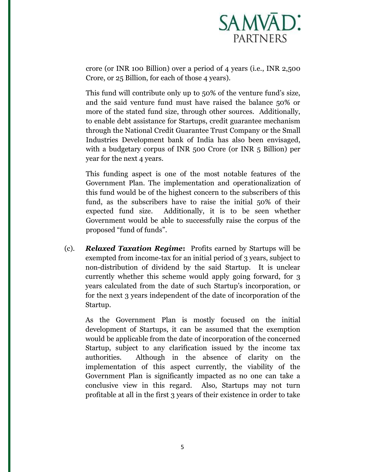

crore (or INR 100 Billion) over a period of 4 years (i.e., INR 2,500 Crore, or 25 Billion, for each of those 4 years).

This fund will contribute only up to 50% of the venture fund's size, and the said venture fund must have raised the balance 50% or more of the stated fund size, through other sources. Additionally, to enable debt assistance for Startups, credit guarantee mechanism through the National Credit Guarantee Trust Company or the Small Industries Development bank of India has also been envisaged, with a budgetary corpus of INR 500 Crore (or INR 5 Billion) per year for the next 4 years.

This funding aspect is one of the most notable features of the Government Plan. The implementation and operationalization of this fund would be of the highest concern to the subscribers of this fund, as the subscribers have to raise the initial 50% of their expected fund size. Additionally, it is to be seen whether Government would be able to successfully raise the corpus of the proposed "fund of funds".

(c). *Relaxed Taxation Regime***:** Profits earned by Startups will be exempted from income-tax for an initial period of 3 years, subject to non-distribution of dividend by the said Startup. It is unclear currently whether this scheme would apply going forward, for 3 years calculated from the date of such Startup's incorporation, or for the next 3 years independent of the date of incorporation of the Startup.

As the Government Plan is mostly focused on the initial development of Startups, it can be assumed that the exemption would be applicable from the date of incorporation of the concerned Startup, subject to any clarification issued by the income tax authorities. Although in the absence of clarity on the implementation of this aspect currently, the viability of the Government Plan is significantly impacted as no one can take a conclusive view in this regard. Also, Startups may not turn profitable at all in the first 3 years of their existence in order to take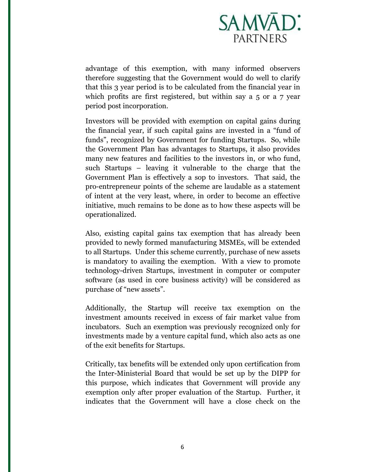

advantage of this exemption, with many informed observers therefore suggesting that the Government would do well to clarify that this 3 year period is to be calculated from the financial year in which profits are first registered, but within say a 5 or a 7 year period post incorporation.

Investors will be provided with exemption on capital gains during the financial year, if such capital gains are invested in a "fund of funds", recognized by Government for funding Startups. So, while the Government Plan has advantages to Startups, it also provides many new features and facilities to the investors in, or who fund, such Startups – leaving it vulnerable to the charge that the Government Plan is effectively a sop to investors. That said, the pro-entrepreneur points of the scheme are laudable as a statement of intent at the very least, where, in order to become an effective initiative, much remains to be done as to how these aspects will be operationalized.

Also, existing capital gains tax exemption that has already been provided to newly formed manufacturing MSMEs, will be extended to all Startups. Under this scheme currently, purchase of new assets is mandatory to availing the exemption. With a view to promote technology-driven Startups, investment in computer or computer software (as used in core business activity) will be considered as purchase of "new assets".

Additionally, the Startup will receive tax exemption on the investment amounts received in excess of fair market value from incubators. Such an exemption was previously recognized only for investments made by a venture capital fund, which also acts as one of the exit benefits for Startups.

Critically, tax benefits will be extended only upon certification from the Inter-Ministerial Board that would be set up by the DIPP for this purpose, which indicates that Government will provide any exemption only after proper evaluation of the Startup. Further, it indicates that the Government will have a close check on the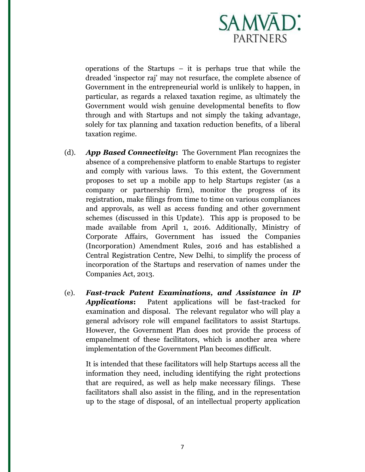

operations of the Startups – it is perhaps true that while the dreaded 'inspector raj' may not resurface, the complete absence of Government in the entrepreneurial world is unlikely to happen, in particular, as regards a relaxed taxation regime, as ultimately the Government would wish genuine developmental benefits to flow through and with Startups and not simply the taking advantage, solely for tax planning and taxation reduction benefits, of a liberal taxation regime.

- (d). *App Based Connectivity***:** The Government Plan recognizes the absence of a comprehensive platform to enable Startups to register and comply with various laws. To this extent, the Government proposes to set up a mobile app to help Startups register (as a company or partnership firm), monitor the progress of its registration, make filings from time to time on various compliances and approvals, as well as access funding and other government schemes (discussed in this Update). This app is proposed to be made available from April 1, 2016. Additionally, Ministry of Corporate Affairs, Government has issued the Companies (Incorporation) Amendment Rules, 2016 and has established a Central Registration Centre, New Delhi, to simplify the process of incorporation of the Startups and reservation of names under the Companies Act, 2013.
- (e). *Fast-track Patent Examinations, and Assistance in IP Applications***:** Patent applications will be fast-tracked for examination and disposal. The relevant regulator who will play a general advisory role will empanel facilitators to assist Startups. However, the Government Plan does not provide the process of empanelment of these facilitators, which is another area where implementation of the Government Plan becomes difficult.

It is intended that these facilitators will help Startups access all the information they need, including identifying the right protections that are required, as well as help make necessary filings. These facilitators shall also assist in the filing, and in the representation up to the stage of disposal, of an intellectual property application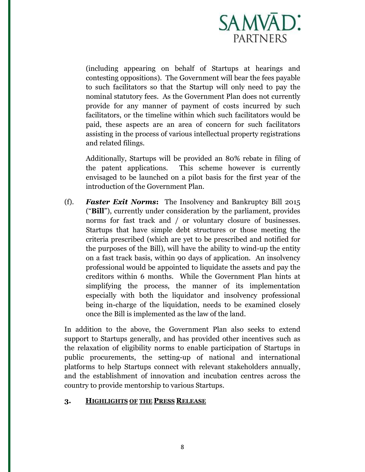

(including appearing on behalf of Startups at hearings and contesting oppositions). The Government will bear the fees payable to such facilitators so that the Startup will only need to pay the nominal statutory fees. As the Government Plan does not currently provide for any manner of payment of costs incurred by such facilitators, or the timeline within which such facilitators would be paid, these aspects are an area of concern for such facilitators assisting in the process of various intellectual property registrations and related filings.

Additionally, Startups will be provided an 80% rebate in filing of the patent applications. This scheme however is currently envisaged to be launched on a pilot basis for the first year of the introduction of the Government Plan.

(f). *Faster Exit Norms***:** The Insolvency and Bankruptcy Bill 2015 ("**Bill**"), currently under consideration by the parliament, provides norms for fast track and / or voluntary closure of businesses. Startups that have simple debt structures or those meeting the criteria prescribed (which are yet to be prescribed and notified for the purposes of the Bill), will have the ability to wind-up the entity on a fast track basis, within 90 days of application. An insolvency professional would be appointed to liquidate the assets and pay the creditors within 6 months. While the Government Plan hints at simplifying the process, the manner of its implementation especially with both the liquidator and insolvency professional being in-charge of the liquidation, needs to be examined closely once the Bill is implemented as the law of the land.

In addition to the above, the Government Plan also seeks to extend support to Startups generally, and has provided other incentives such as the relaxation of eligibility norms to enable participation of Startups in public procurements, the setting-up of national and international platforms to help Startups connect with relevant stakeholders annually, and the establishment of innovation and incubation centres across the country to provide mentorship to various Startups.

### **3. HIGHLIGHTS OF THE PRESS RELEASE**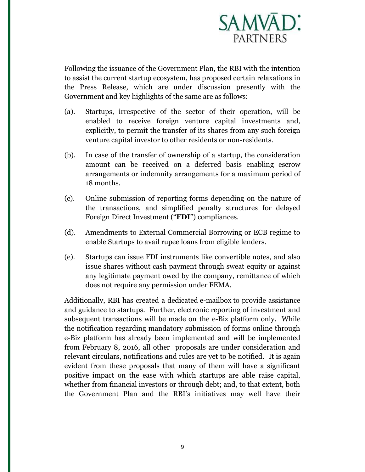

Following the issuance of the Government Plan, the RBI with the intention to assist the current startup ecosystem, has proposed certain relaxations in the Press Release, which are under discussion presently with the Government and key highlights of the same are as follows:

- (a). Startups, irrespective of the sector of their operation, will be enabled to receive foreign venture capital investments and, explicitly, to permit the transfer of its shares from any such foreign venture capital investor to other residents or non-residents.
- (b). In case of the transfer of ownership of a startup, the consideration amount can be received on a deferred basis enabling escrow arrangements or indemnity arrangements for a maximum period of 18 months.
- (c). Online submission of reporting forms depending on the nature of the transactions, and simplified penalty structures for delayed Foreign Direct Investment ("**FDI**") compliances.
- (d). Amendments to External Commercial Borrowing or ECB regime to enable Startups to avail rupee loans from eligible lenders.
- (e). Startups can issue FDI instruments like convertible notes, and also issue shares without cash payment through sweat equity or against any legitimate payment owed by the company, remittance of which does not require any permission under FEMA.

Additionally, RBI has created a dedicated e-mailbox to provide assistance and guidance to startups. Further, electronic reporting of investment and subsequent transactions will be made on the e-Biz platform only. While the notification regarding mandatory submission of forms online through e-Biz platform has already been implemented and will be implemented from February 8, 2016, all other proposals are under consideration and relevant circulars, notifications and rules are yet to be notified. It is again evident from these proposals that many of them will have a significant positive impact on the ease with which startups are able raise capital, whether from financial investors or through debt; and, to that extent, both the Government Plan and the RBI's initiatives may well have their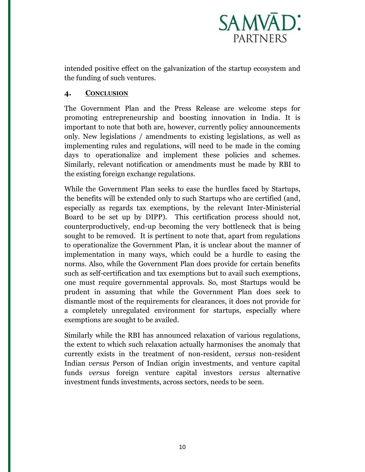

intended positive effect on the galvanization of the startup ecosystem and the funding of such ventures.

## **4. CONCLUSION**

The Government Plan and the Press Release are welcome steps for promoting entrepreneurship and boosting innovation in India. It is important to note that both are, however, currently policy announcements only. New legislations / amendments to existing legislations, as well as implementing rules and regulations, will need to be made in the coming days to operationalize and implement these policies and schemes. Similarly, relevant notification or amendments must be made by RBI to the existing foreign exchange regulations.

While the Government Plan seeks to ease the hurdles faced by Startups, the benefits will be extended only to such Startups who are certified (and, especially as regards tax exemptions, by the relevant Inter-Ministerial Board to be set up by DIPP). This certification process should not, counterproductively, end-up becoming the very bottleneck that is being sought to be removed. It is pertinent to note that, apart from regulations to operationalize the Government Plan, it is unclear about the manner of implementation in many ways, which could be a hurdle to easing the norms. Also, while the Government Plan does provide for certain benefits such as self-certification and tax exemptions but to avail such exemptions, one must require governmental approvals. So, most Startups would be prudent in assuming that while the Government Plan does seek to dismantle most of the requirements for clearances, it does not provide for a completely unregulated environment for startups, especially where exemptions are sought to be availed.

Similarly while the RBI has announced relaxation of various regulations, the extent to which such relaxation actually harmonises the anomaly that currently exists in the treatment of non-resident, *versus* non-resident Indian *versus* Person of Indian origin investments, and venture capital funds *versus* foreign venture capital investors *versus* alternative investment funds investments, across sectors, needs to be seen.